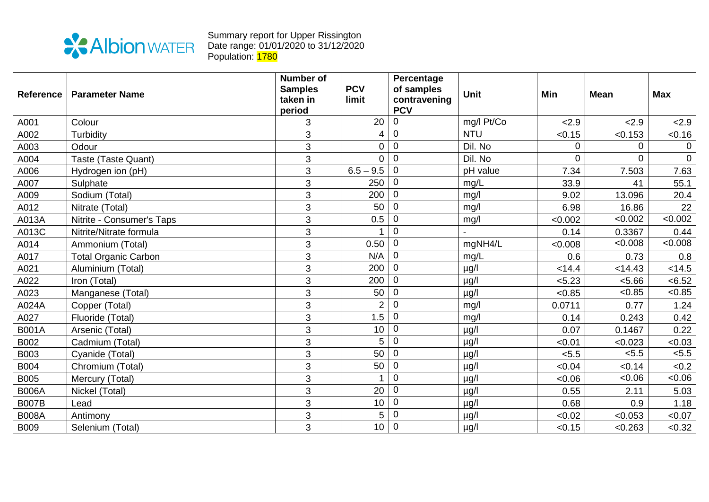

Summary report for Upper Rissington Date range: 01/01/2020 to 31/12/2020 Population: <mark>1780</mark>

| <b>Reference</b> | <b>Parameter Name</b>       | <b>Number of</b><br><b>Samples</b> | <b>PCV</b>     | Percentage<br>of samples | <b>Unit</b> | Min      | <b>Mean</b> | <b>Max</b>     |
|------------------|-----------------------------|------------------------------------|----------------|--------------------------|-------------|----------|-------------|----------------|
|                  |                             | taken in                           | limit          | contravening             |             |          |             |                |
|                  |                             | period                             |                | <b>PCV</b>               |             |          |             |                |
| A001             | Colour                      | 3                                  | 20             | 0                        | mg/l Pt/Co  | 2.9      | 2.9         | 2.9            |
| A002             | Turbidity                   | 3                                  | 4              | $\mathbf 0$              | <b>NTU</b>  | < 0.15   | < 0.153     | < 0.16         |
| A003             | Odour                       | 3                                  | $\overline{0}$ | $\mathbf 0$              | Dil. No     | 0        | $\Omega$    | $\Omega$       |
| A004             | Taste (Taste Quant)         | 3                                  | $\overline{0}$ | $\mathbf 0$              | Dil. No     | $\Omega$ | $\Omega$    | $\overline{0}$ |
| A006             | Hydrogen ion (pH)           | 3                                  | $6.5 - 9.5$    | $\mathbf 0$              | pH value    | 7.34     | 7.503       | 7.63           |
| A007             | Sulphate                    | 3                                  | 250            | $\Omega$                 | mg/L        | 33.9     | 41          | 55.1           |
| A009             | Sodium (Total)              | 3                                  | 200            | $\Omega$                 | mq/l        | 9.02     | 13.096      | 20.4           |
| A012             | Nitrate (Total)             | 3                                  | 50             | $\mathbf 0$              | mg/l        | 6.98     | 16.86       | 22             |
| A013A            | Nitrite - Consumer's Taps   | 3                                  | 0.5            | $\mathbf 0$              | mg/l        | < 0.002  | < 0.002     | <0.002         |
| A013C            | Nitrite/Nitrate formula     | 3                                  |                | $\overline{0}$           |             | 0.14     | 0.3367      | 0.44           |
| A014             | Ammonium (Total)            | 3                                  | 0.50           | $\mathbf 0$              | mgNH4/L     | < 0.008  | < 0.008     | <0.008         |
| A017             | <b>Total Organic Carbon</b> | 3                                  | N/A            | $\mathbf 0$              | mg/L        | 0.6      | 0.73        | 0.8            |
| A021             | Aluminium (Total)           | 3                                  | 200            | $\mathbf 0$              | $\mu$ g/l   | < 14.4   | < 14.43     | < 14.5         |
| A022             | Iron (Total)                | 3                                  | 200            | $\overline{0}$           | $\mu$ g/l   | < 5.23   | < 5.66      | < 6.52         |
| A023             | Manganese (Total)           | 3                                  | 50             | $\mathbf 0$              | $\mu$ g/l   | < 0.85   | < 0.85      | < 0.85         |
| A024A            | Copper (Total)              | 3                                  | $\overline{2}$ | $\pmb{0}$                | mg/l        | 0.0711   | 0.77        | 1.24           |
| A027             | Fluoride (Total)            | 3                                  | 1.5            | $\pmb{0}$                | mg/l        | 0.14     | 0.243       | 0.42           |
| <b>B001A</b>     | Arsenic (Total)             | 3                                  | 10             | $\mathbf 0$              | $\mu$ g/l   | 0.07     | 0.1467      | 0.22           |
| B002             | Cadmium (Total)             | 3                                  | 5              | $\pmb{0}$                | $\mu$ g/l   | < 0.01   | < 0.023     | <0.03          |
| B003             | Cyanide (Total)             | 3                                  | 50             | $\mathbf 0$              | $\mu$ g/l   | < 5.5    | < 5.5       | < 5.5          |
| <b>B004</b>      | Chromium (Total)            | 3                                  | 50             | 0                        | $\mu$ g/l   | < 0.04   | < 0.14      | <0.2           |
| <b>B005</b>      | Mercury (Total)             | 3                                  |                | $\overline{0}$           | $\mu$ g/l   | &0.06    | <0.06       | <0.06          |
| <b>B006A</b>     | Nickel (Total)              | 3                                  | 20             | $\mathbf 0$              | $\mu$ g/l   | 0.55     | 2.11        | 5.03           |
| <b>B007B</b>     | Lead                        | 3                                  | 10             | $\mathbf 0$              | $\mu$ g/l   | 0.68     | 0.9         | 1.18           |
| <b>B008A</b>     | Antimony                    | 3                                  | 5              | $\mathbf 0$              | $\mu$ g/l   | < 0.02   | < 0.053     | < 0.07         |
| <b>B009</b>      | Selenium (Total)            | 3                                  | 10             | $\mathbf 0$              | µg/l        | < 0.15   | < 0.263     | < 0.32         |